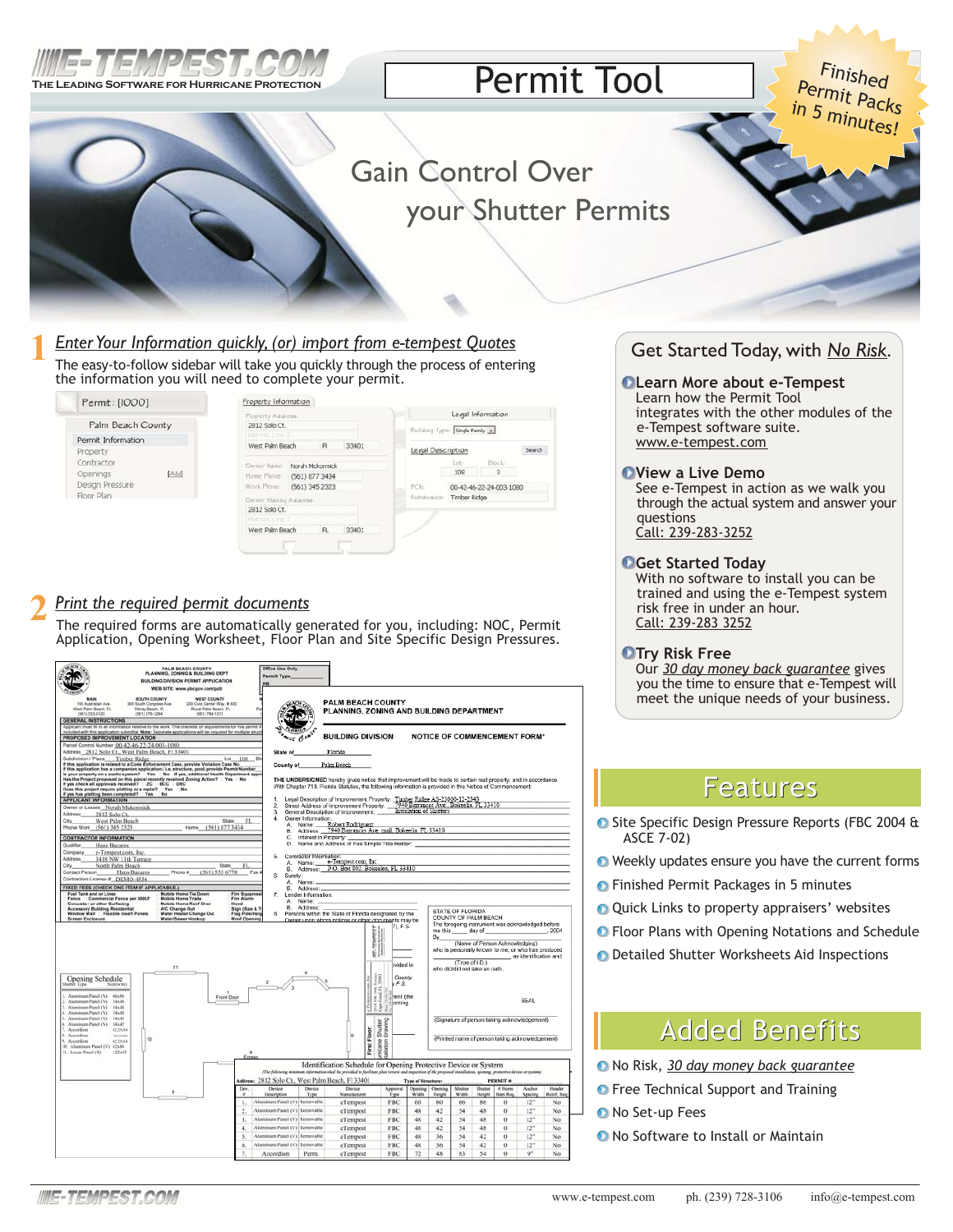

# **Permit Tool**

Finished<br>Permit Packs in 5 minutes!

# **Gain Control Over** your Shutter Permits

## Enter Your Information quickly, (or) import from e-tempest Quotes

The easy-to-follow sidebar will take you quickly through the process of entering the information you will need to complete your permit.

| Permit: [1000]                                                   | Property Information                                                                                                                              |
|------------------------------------------------------------------|---------------------------------------------------------------------------------------------------------------------------------------------------|
| Palm Beach County                                                | Legal Information<br><b>Property Address</b><br>2812 Solo Ct.<br>Building Type: Single Family                                                     |
| Permit Information<br>Property                                   | Address Line 2<br>West Palm Beach<br>F<br>33401<br>Search<br>Legal Description                                                                    |
| Contractor<br>[Add]<br>Openings<br>Design Pressure<br>Floor Plan | Block<br>Lot.<br>Owner Name:<br>Norah Mokormick<br>108<br>$\overline{\mathbf{3}}$<br>Home Phone:<br>(561) 877 3434                                |
|                                                                  | Work Phone<br>(561) 345 2323<br>PCN:<br>00-42-46-22-24-003-1080<br>Subdivision:<br><b>Timber Ridge</b><br>Owner Mailing Address:<br>2812 Solo Ct. |
|                                                                  | RESTRICTED<br>West Palm Beach<br>FL.<br>33401                                                                                                     |

## Print the required permit documents

The required forms are automatically generated for you, including: NOC, Permit Application, Opening Worksheet, Floor Plan and Site Specific Design Pressures.



## Get Started Today, with No Risk.

### **OLearn More about e-Tempest**

Learn how the Permit Tool integrates with the other modules of the e-Tempest software suite. www.e-tempest.com

### OView a Live Demo

See e-Tempest in action as we walk you through the actual system and answer your questions Call: 239-283-3252

### **O**Get Started Today

With no software to install you can be trained and using the e-Tempest system risk free in under an hour. Call: 239-283 3252

### **OTry Risk Free**

Our 30 day money back guarantee gives you the time to ensure that e-Tempest will meet the unique needs of your business.

## Features

- Site Specific Design Pressure Reports (FBC 2004 & ASCE 7-02)
- Weekly updates ensure you have the current forms
- **O** Finished Permit Packages in 5 minutes
- O Quick Links to property appraisers' websites
- **O** Floor Plans with Opening Notations and Schedule
- **O** Detailed Shutter Worksheets Aid Inspections

## **Added Benefits**

- No Risk, 30 day money back guarantee
- **O** Free Technical Support and Training
- O No Set-up Fees
- **O** No Software to Install or Maintain